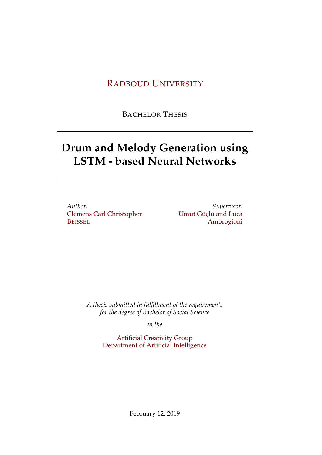## RADBOUD U[NIVERSITY](https://www.ru.nl/)

BACHELOR THESIS

# **Drum and Melody Generation using LSTM - based Neural Networks**

*Author:* [Clemens Carl Christopher](https://imgur.com/a/l8QYBon) **B[EISSEL](https://imgur.com/a/l8QYBon)** 

*Supervisor:* [Umut Güçlü and Luca](https://guc.lu/) [Ambrogioni](https://guc.lu/)

*A thesis submitted in fulfillment of the requirements for the degree of Bachelor of Social Science*

*in the*

[Artificial Creativity Group](http://researchgroup.university.com) [Department of Artificial Intelligence](http://department.university.com)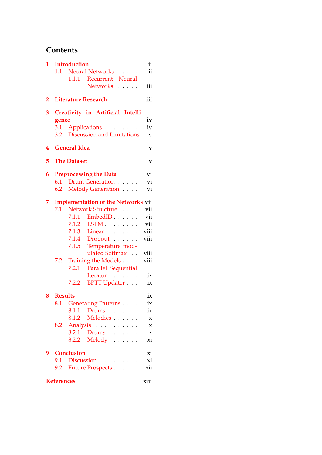## **Contents**

| 1 | <b>Introduction</b> |                                           |                         |  |  |  |  |  |
|---|---------------------|-------------------------------------------|-------------------------|--|--|--|--|--|
|   | 1.1                 | <b>Neural Networks</b><br>.               | ii                      |  |  |  |  |  |
|   |                     | Recurrent Neural<br>1.1.1                 |                         |  |  |  |  |  |
|   |                     | <b>Networks</b><br>.                      | iii                     |  |  |  |  |  |
| 2 |                     | iii<br><b>Literature Research</b>         |                         |  |  |  |  |  |
| 3 |                     | Creativity in Artificial Intelli-         |                         |  |  |  |  |  |
|   | gence               |                                           | iv                      |  |  |  |  |  |
|   | 3.1                 | Applications                              | iv                      |  |  |  |  |  |
|   | 3.2                 | <b>Discussion and Limitations</b>         | $\overline{\mathbf{V}}$ |  |  |  |  |  |
| 4 |                     | <b>General Idea</b><br>v                  |                         |  |  |  |  |  |
| 5 |                     | <b>The Dataset</b>                        | V                       |  |  |  |  |  |
| 6 |                     | <b>Preprocessing the Data</b>             | vi                      |  |  |  |  |  |
|   |                     | 6.1 Drum Generation                       | vi                      |  |  |  |  |  |
|   | 6.2                 | Melody Generation                         | vi                      |  |  |  |  |  |
| 7 |                     | <b>Implementation of the Networks vii</b> |                         |  |  |  |  |  |
|   | 7.1                 | Network Structure                         | vii                     |  |  |  |  |  |
|   |                     | 7.1.1<br>EmbedID                          | vii                     |  |  |  |  |  |
|   |                     | $LSTM \ldots \ldots$<br>7.1.2             | vii                     |  |  |  |  |  |
|   |                     | 7.1.3<br>Linear                           | viii                    |  |  |  |  |  |
|   |                     | Dropout<br>7.1.4                          | viii                    |  |  |  |  |  |
|   |                     | 7.1.5<br>Temperature mod-                 |                         |  |  |  |  |  |
|   |                     | ulated Softmax                            | viii                    |  |  |  |  |  |
|   | 7.2                 | Training the Models                       | viii                    |  |  |  |  |  |
|   |                     | Parallel Sequential<br>7.2.1              |                         |  |  |  |  |  |
|   |                     | Iterator                                  | ix                      |  |  |  |  |  |
|   |                     | 7.2.2<br><b>BPTT Updater</b>              | ix                      |  |  |  |  |  |
| 8 | <b>Results</b>      |                                           | ix                      |  |  |  |  |  |
|   |                     | 8.1 Generating Patterns                   | ix                      |  |  |  |  |  |
|   |                     | 8.1.1 Drums                               | ix                      |  |  |  |  |  |
|   |                     | 8.1.2 Melodies                            | X                       |  |  |  |  |  |
|   |                     | 8.2 Analysis                              | $\boldsymbol{\chi}$     |  |  |  |  |  |
|   |                     | 8.2.1 Drums                               | $\boldsymbol{\chi}$     |  |  |  |  |  |
|   |                     | 8.2.2 Melody                              | xi                      |  |  |  |  |  |
| 9 |                     | <b>Conclusion</b>                         | xi                      |  |  |  |  |  |
|   | 9.1                 | Discussion                                | xi                      |  |  |  |  |  |
|   |                     | 9.2 Future Prospects                      | xii                     |  |  |  |  |  |
|   | <b>References</b>   |                                           | xiii                    |  |  |  |  |  |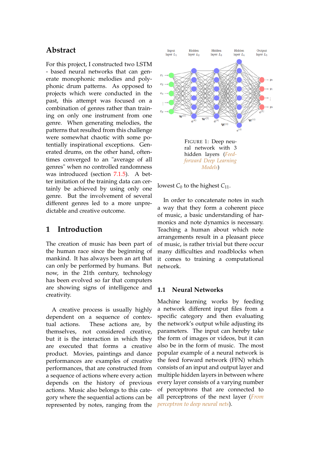## **Abstract**

For this project, I constructed two LSTM - based neural networks that can generate monophonic melodies and polyphonic drum patterns. As opposed to projects which were conducted in the past, this attempt was focused on a combination of genres rather than training on only one instrument from one genre. When generating melodies, the patterns that resulted from this challenge were somewhat chaotic with some potentially inspirational exceptions. Generated drums, on the other hand, oftentimes converged to an "average of all genres" when no controlled randomness was introduced (section [7.1.5\)](#page-8-2). A better imitation of the training data can certainly be achieved by using only one genre. But the involvement of several different genres led to a more unpredictable and creative outcome.

## <span id="page-2-0"></span>**1 Introduction**

The creation of music has been part of the human race since the beginning of mankind. It has always been an art that can only be performed by humans. But now, in the 21th century, technology has been evolved so far that computers are showing signs of intelligence and creativity.

A creative process is usually highly dependent on a sequence of contextual actions. These actions are, by themselves, not considered creative, but it is the interaction in which they are executed that forms a creative product. Movies, paintings and dance performances are examples of creative performances, that are constructed from a sequence of actions where every action depends on the history of previous actions. Music also belongs to this category where the sequential actions can be represented by notes, ranging from the



lowest  $C_0$  to the highest  $C_{11}$ .

In order to concatenate notes in such a way that they form a coherent piece of music, a basic understanding of harmonics and note dynamics is necessary. Teaching a human about which note arrangements result in a pleasant piece of music, is rather trivial but there occur many difficulties and roadblocks when it comes to training a computational network.

#### <span id="page-2-1"></span>**1.1 Neural Networks**

Machine learning works by feeding a network different input files from a specific category and then evaluating the network's output while adjusting its parameters. The input can hereby take the form of images or videos, but it can also be in the form of music. The most popular example of a neural network is the feed forward network (FFN) which consists of an input and output layer and multiple hidden layers in between where every layer consists of a varying number of perceptrons that are connected to all perceptrons of the next layer (*[From](#page-13-2) [perceptron to deep neural nets](#page-13-2)*).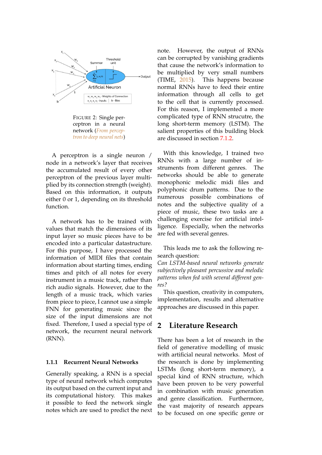

FIGURE 2: Single perceptron in a neural network (*[From percep](#page-13-2)[tron to deep neural nets](#page-13-2)*)

A perceptron is a single neuron / node in a network's layer that receives the accumulated result of every other perceptron of the previous layer multiplied by its connection strength (weight). Based on this information, it outputs either 0 or 1, depending on its threshold function.

A network has to be trained with values that match the dimensions of its input layer so music pieces have to be encoded into a particular datastructure. For this purpose, I have processed the information of MIDI files that contain information about starting times, ending times and pitch of all notes for every instrument in a music track, rather than rich audio signals. However, due to the length of a music track, which varies from piece to piece, I cannot use a simple FNN for generating music since the size of the input dimensions are not fixed. Therefore, I used a special type of network, the recurrent neural network (RNN).

#### <span id="page-3-0"></span>**1.1.1 Recurrent Neural Networks**

Generally speaking, a RNN is a special type of neural network which computes its output based on the current input and its computational history. This makes it possible to feed the network single notes which are used to predict the next note. However, the output of RNNs can be corrupted by vanishing gradients that cause the network's information to be multiplied by very small numbers (TIME, [2015\)](#page-13-3). This happens because normal RNNs have to feed their entire information through all cells to get to the cell that is currently processed. For this reason, I implemented a more complicated type of RNN strucutre, the long short-term memory (LSTM). The salient properties of this building block are discussed in section [7.1.2.](#page-7-3)

With this knowledge, I trained two RNNs with a large number of instruments from different genres. The networks should be able to generate monophonic melodic midi files and polyphonic drum patterns. Due to the numerous possible combinations of notes and the subjective quality of a piece of music, these two tasks are a challenging exercise for artificial intelligence. Especially, when the networks are fed with several genres.

This leads me to ask the following research question:

*Can LSTM-based neural networks generate subjectively pleasant percussive and melodic patterns when fed with several different genres?*

This question, creativity in computers, implementation, results and alternative approaches are discussed in this paper.

## <span id="page-3-1"></span>**2 Literature Research**

There has been a lot of research in the field of generative modelling of music with artificial neural networks. Most of the research is done by implementing LSTMs (long short-term memory), a special kind of RNN structure, which have been proven to be very powerful in combination with music generation and genre classification. Furthermore, the vast majority of research appears to be focused on one specific genre or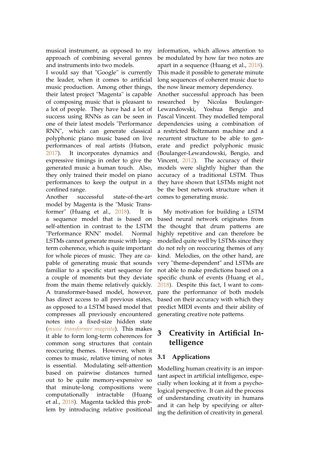musical instrument, as opposed to my approach of combining several genres and instruments into two models.

I would say that "Google" is currently the leader, when it comes to artificial music production. Among other things, their latest project "Magenta" is capable of composing music that is pleasant to a lot of people. They have had a lot of success using RNNs as can be seen in one of their latest models "Performance RNN", which can generate classical polyphonic piano music based on live performances of real artists (Hutson, [2017\)](#page-13-4). It incorporates dynamics and expressive timings in order to give the generated music a human touch. Also, they only trained their model on piano performances to keep the output in a confined range.

Another successful state-of-the-art model by Magenta is the "Music Transformer" (Huang et al., [2018\)](#page-13-5). It is a sequence model that is based on self-attention in contrast to the LSTM "Performance RNN" model. Normal LSTMs cannot generate music with longterm coherence, which is quite important for whole pieces of music. They are capable of generating music that sounds familiar to a specific start sequence for a couple of moments but they deviate from the main theme relatively quickly. A transformer-based model, however, has direct access to all previous states, as opposed to a LSTM based model that compresses all previously encountered notes into a fixed-size hidden state (*[music transformer magenta](#page-13-6)*). This makes it able to form long-term coherences for common song structures that contain reoccuring themes. However, when it comes to music, relative timing of notes is essential. Modulating self-attention based on pairwise distances turned out to be quite memory-expensive so that minute-long compositions were computationally intractable (Huang et al., [2018\)](#page-13-5). Magenta tackled this problem by introducing relative positional

information, which allows attention to be modulated by how far two notes are apart in a sequence (Huang et al., [2018\)](#page-13-5). This made it possible to generate minute long sequences of coherent music due to the now linear memory dependency.

Another successful approach has been researched by Nicolas Boulanger-Lewandowski, Yoshua Bengio and Pascal Vincent. They modelled temporal dependencies using a combination of a restricted Boltzmann machine and a recurrent structure to be able to generate and predict polyphonic music (Boulanger-Lewandowski, Bengio, and Vincent, [2012\)](#page-13-7). The accuracy of their models were slightly higher than the accuracy of a traditional LSTM. Thus they have shown that LSTMs might not be the best network structure when it comes to generating music.

My motivation for building a LSTM based neural network originates from the thought that drum patterns are highly repetitive and can therefore be modelled quite well by LSTMs since they do not rely on reoccuring themes of any kind. Melodies, on the other hand, are very "theme-dependent" and LSTMs are not able to make predictions based on a specific chunk of events (Huang et al., [2018\)](#page-13-5). Despite this fact, I want to compare the performance of both models based on their accuracy with which they predict MIDI events and their ability of generating creative note patterns.

## <span id="page-4-0"></span>**3 Creativity in Artificial Intelligence**

## <span id="page-4-1"></span>**3.1 Applications**

Modelling human creativity is an important aspect in artificial intelligence, especially when looking at it from a psychological perspective. It can aid the process of understanding creativity in humans and it can help by specifying or altering the definition of creativity in general.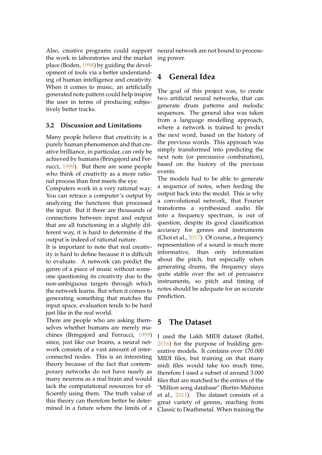Also, creative programs could support the work in laboratories and the market place (Boden, [1998\)](#page-13-8) by guiding the development of tools via a better understanding of human intelligence and creativity. When it comes to music, an artificially generated note pattern could help inspire the user in terms of producing subjectively better tracks.

#### <span id="page-5-0"></span>**3.2 Discussion and Limitations**

Many people believe that creativity is a purely human phenomenon and that creative brilliance, in particular, can only be achieved by humans (Bringsjord and Ferrucci, [1999\)](#page-13-9). But there are some people who think of creativity as a more rational process than first meets the eye.

Computers work in a very rational way: You can retrace a computer's output by analyzing the functions that processed the input. But if there are thousands of connections between input and output that are all functioning in a slightly different way, it is hard to determine if the output is indeed of rational nature.

It is important to note that real creativity is hard to define because it is difficult to evaluate. A network can predict the genre of a piece of music without someone questioning its creativity due to the non-ambiguous targets through which the network learns. But when it comes to generating something that matches the input space, evaluation tends to be hard just like in the real world.

There are people who are asking themselves whether humans are merely machines (Bringsjord and Ferrucci, [1999\)](#page-13-9) since, just like our brains, a neural network consists of a vast amount of interconnected nodes. This is an interesting theory because of the fact that contemporary networks do not have nearly as many neurons as a real brain and would lack the computational resources for efficiently using them. The truth value of this theory can therefore better be determined in a future where the limits of a

neural network are not bound to processing power.

## <span id="page-5-1"></span>**4 General Idea**

The goal of this project was, to create two artificial neural networks, that can generate drum patterns and melodic sequences. The general idea was taken from a language modelling approach, where a network is trained to predict the next word, based on the history of the previous words. This approach was simply transformed into predicting the next note (or percussive combination), based on the history of the previous events.

The models had to be able to generate a sequence of notes, when feeding the output back into the model. This is why a convolutional network, that Fourier transforms a synthesized audio file into a frequency spectrum, is out of question, despite its good classification accuracy for genres and instruments (Choi et al., [2017\)](#page-13-10). Of course, a frequency representation of a sound is much more informative, than only information about the pitch, but especially when generating drums, the frequency stays quite stable over the set of percussive instruments, so pitch and timing of notes should be adequate for an accurate prediction.

## <span id="page-5-2"></span>**5 The Dataset**

I used the Lakh MIDI dataset (Raffel, [2016\)](#page-13-11) for the purpose of building generative models. It contains over 170.000 MIDI files, but training on that many midi files would take too much time, therefore I used a subset of around 3.000 files that are matched to the entries of the "Million song database" (Bertin-Mahieux et al., [2011\)](#page-13-12). The dataset consists of a great variety of genres, reaching from Classic to Deathmetal. When training the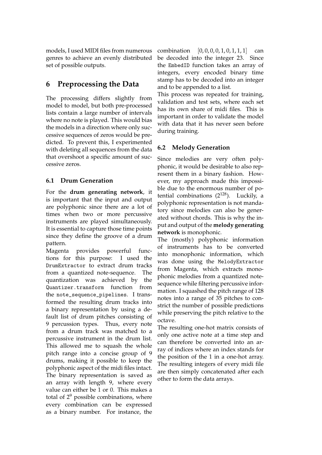models, I used MIDI files from numerous genres to achieve an evenly distributed set of possible outputs.

## <span id="page-6-0"></span>**6 Preprocessing the Data**

The processing differs slightly from model to model, but both pre-processed lists contain a large number of intervals where no note is played. This would bias the models in a direction where only successive sequences of zeros would be predicted. To prevent this, I experimented with deleting all sequences from the data that overshoot a specific amount of successive zeros.

## <span id="page-6-1"></span>**6.1 Drum Generation**

For the **drum generating network**, it is important that the input and output are polyphonic since there are a lot of times when two or more percussive instruments are played simultaneously. It is essential to capture those time points since they define the groove of a drum pattern.

Magenta provides powerful functions for this purpose: I used the DrumExtractor to extract drum tracks from a quantized note-sequence. The quantization was achieved by the Quantizer.transform function from the note\_sequence\_pipelines. I transformed the resulting drum tracks into a binary representation by using a default list of drum pitches consisting of 9 percussion types. Thus, every note from a drum track was matched to a percussive instrument in the drum list. This allowed me to squash the whole pitch range into a concise group of 9 drums, making it possible to keep the polyphonic aspect of the midi files intact. The binary representation is saved as an array with length 9, where every value can either be 1 or 0. This makes a total of  $2^9$  possible combinations, where every combination can be expressed as a binary number. For instance, the

combination  $[0, 0, 0, 0, 1, 0, 1, 1, 1]$  can be decoded into the integer 23. Since the EmbedID function takes an array of integers, every encoded binary time stamp has to be decoded into an integer and to be appended to a list.

This process was repeated for training, validation and test sets, where each set has its own share of midi files. This is important in order to validate the model with data that it has never seen before during training.

## <span id="page-6-2"></span>**6.2 Melody Generation**

Since melodies are very often polyphonic, it would be desirable to also represent them in a binary fashion. However, my approach made this impossible due to the enormous number of potential combinations  $(2^{128})$ . Luckily, a polyphonic representation is not mandatory since melodies can also be generated without chords. This is why the input and output of the **melody generating network** is monophonic.

The (mostly) polyphonic information of instruments has to be converted into monophonic information, which was done using the MelodyExtractor from Magenta, which extracts monophonic melodies from a quantized notesequence while filtering percussive information. I squashed the pitch range of 128 notes into a range of 35 pitches to constrict the number of possible predictions while preserving the pitch relative to the octave.

The resulting one-hot matrix consists of only one active note at a time step and can therefore be converted into an array of indices where an index stands for the position of the 1 in a one-hot array. The resulting integers of every midi file are then simply concatenated after each other to form the data arrays.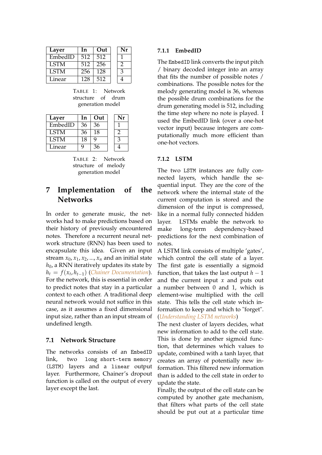| Layer       | In  | Out |   |
|-------------|-----|-----|---|
| EmbedID     | 512 | 512 |   |
| <b>LSTM</b> | 512 | 256 | າ |
| <b>LSTM</b> | 256 | 128 | 3 |
| Linear      | 128 | 512 |   |

TABLE 1: Network structure of drum generation model

| Layer       | In | Out |   |
|-------------|----|-----|---|
| EmbedID     | 36 | 36  |   |
| <b>LSTM</b> | 36 | 18  | 2 |
| <b>LSTM</b> | 18 | q   | 3 |
| Linear      | g  | 36  |   |

TABLE 2: Network structure of melody generation model

## <span id="page-7-0"></span>**7 Implementation of the Networks**

In order to generate music, the networks had to make predictions based on their history of previously encountered notes. Therefore a recurrent neural network structure (RNN) has been used to encapsulate this idea. Given an input stream  $x_0$ ,  $x_1$ ,  $x_2$ , ...,  $x_n$  and an initial state  $h_0$ , a RNN iteratively updates its state by *h<sup>t</sup>* = *f*(*x<sup>t</sup>* , *ht*−1) (*[Chainer Documentation](#page-13-13)*). For the network, this is essential in order to predict notes that stay in a particular context to each other. A traditional deep neural network would not suffice in this case, as it assumes a fixed dimensional input size, rather than an input stream of undefined length.

### <span id="page-7-1"></span>**7.1 Network Structure**

The networks consists of an EmbedID link, two long short-term memory (LSTM) layers and a linear output layer. Furthermore, Chainer's dropout function is called on the output of every layer except the last.

#### <span id="page-7-2"></span>**7.1.1 EmbedID**

The EmbedID link converts the input pitch / binary decoded integer into an array that fits the number of possible notes / combinations. The possible notes for the melody generating model is 36, whereas the possible drum combinations for the drum generating model is 512, including the time step where no note is played. I used the EmbedID link (over a one-hot vector input) because integers are computationally much more efficient than one-hot vectors.

#### <span id="page-7-3"></span>**7.1.2 LSTM**

The two LSTM instances are fully connected layers, which handle the sequential input. They are the core of the network where the internal state of the current computation is stored and the dimension of the input is compressed, like in a normal fully connected hidden layer. LSTMs enable the network to make long-term dependency-based predictions for the next combination of notes.

A LSTM link consists of multiple 'gates', which control the cell state of a layer. The first gate is essentially a sigmoid function, that takes the last output  $h - 1$ and the current input *x* and puts out a number between 0 and 1, which is element-wise multiplied with the cell state. This tells the cell state which information to keep and which to "forget". (*[Understanding LSTM networks](#page-13-14)*)

The next cluster of layers decides, what new information to add to the cell state. This is done by another sigmoid function, that determines which values to update, combined with a tanh layer, that creates an array of potentially new information. This filtered new information than is added to the cell state in order to update the state.

Finally, the output of the cell state can be computed by another gate mechanism, that filters what parts of the cell state should be put out at a particular time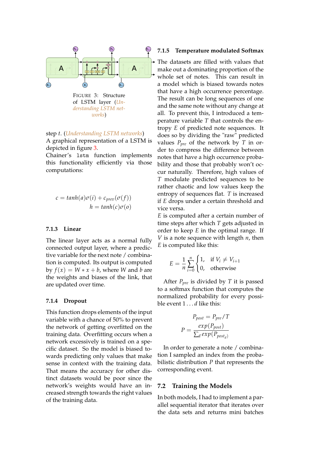<span id="page-8-4"></span>

*[derstanding LSTM net](#page-13-14)[works](#page-13-14)*)

step *t*. (*[Understanding LSTM networks](#page-13-14)*)

A graphical representation of a LSTM is depicted in figure [3.](#page-8-4)

Chainer's lstm function implements this functionality efficiently via those computations:

$$
c = tanh(a)\sigma(i) + c_{prev}(\sigma(f))
$$
  

$$
h = tanh(c)\sigma(o)
$$

#### <span id="page-8-0"></span>**7.1.3 Linear**

The linear layer acts as a normal fully connected output layer, where a predictive variable for the next note / combination is computed. Its output is computed  $\frac{dy}{dx}$  *f*(*x*) = *W* \* *x* + *b*, where *W* and *b* are the weights and biases of the link, that are updated over time.

#### <span id="page-8-1"></span>**7.1.4 Dropout**

This function drops elements of the input variable with a chance of 50% to prevent the network of getting overfitted on the training data. Overfitting occurs when a network excessively is trained on a specific dataset. So the model is biased towards predicting only values that make sense in context with the training data. That means the accuracy for other distinct datasets would be poor since the network's weights would have an increased strength towards the right values of the training data.

#### <span id="page-8-2"></span>**7.1.5 Temperature modulated Softmax**

The datasets are filled with values that make out a dominating proportion of the whole set of notes. This can result in a model which is biased towards notes that have a high occurrence percentage. The result can be long sequences of one and the same note without any change at all. To prevent this, I introduced a temperature variable *T* that controls the entropy *E* of predicted note sequences. It does so by dividing the "raw" predicted values *Ppre* of the network by *T* in order to compress the difference between notes that have a high occurrence probability and those that probably won't occur naturally. Therefore, high values of *T* modulate predicted sequences to be rather chaotic and low values keep the entropy of sequences flat. *T* is increased if *E* drops under a certain threshold and vice versa.

*E* is computed after a certain number of time steps after which *T* gets adjusted in order to keep *E* in the optimal range. If *V* is a note sequence with length *n*, then *E* is computed like this:

$$
E = \frac{1}{n} \sum_{i=0}^{n} \begin{cases} 1, & \text{if } V_i \neq V_{i+1} \\ 0, & \text{otherwise} \end{cases}
$$

After *Ppre* is divided by *T* it is passed to a softmax function that computes the normalized probability for every possible event 1 . . . *d* like this:

$$
P_{post} = P_{pre} / T
$$

$$
P = \frac{exp(P_{post})}{\sum_{d} exp(P_{post_{d}})}
$$

In order to generate a note / combination I sampled an index from the probabilistic distribution *P* that represents the corresponding event.

#### <span id="page-8-3"></span>**7.2 Training the Models**

In both models, I had to implement a parallel sequential iterator that iterates over the data sets and returns mini batches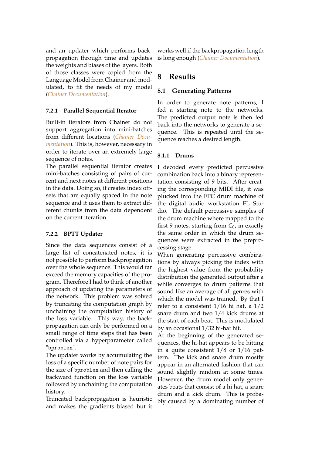and an updater which performs backpropagation through time and updates the weights and biases of the layers. Both of those classes were copied from the Language Model from Chainer and modulated, to fit the needs of my model (*[Chainer Documentation](#page-13-13)*).

### <span id="page-9-0"></span>**7.2.1 Parallel Sequential Iterator**

Built-in iterators from Chainer do not support aggregation into mini-batches from different locations (*[Chainer Docu](#page-13-13)[mentation](#page-13-13)*). This is, however, necessary in order to iterate over an extremely large sequence of notes.

The parallel sequential iterator creates mini-batches consisting of pairs of current and next notes at different positions in the data. Doing so, it creates index offsets that are equally spaced in the note sequence and it uses them to extract different chunks from the data dependent on the current iteration.

## <span id="page-9-1"></span>**7.2.2 BPTT Updater**

Since the data sequences consist of a large list of concatenated notes, it is not possible to perform backpropagation over the whole sequence. This would far exceed the memory capacities of the program. Therefore I had to think of another approach of updating the parameters of the network. This problem was solved by truncating the computation graph by unchaining the computation history of the loss variable. This way, the backpropagation can only be performed on a small range of time steps that has been controlled via a hyperparameter called "bproblen".

The updater works by accumulating the loss of a specific number of note pairs for the size of bproblen and then calling the backward function on the loss variable followed by unchaining the computation history.

Truncated backpropagation is heuristic and makes the gradients biased but it works well if the backpropagation length is long enough (*[Chainer Documentation](#page-13-13)*).

## <span id="page-9-2"></span>**8 Results**

## <span id="page-9-3"></span>**8.1 Generating Patterns**

In order to generate note patterns, I fed a starting note to the networks. The predicted output note is then fed back into the networks to generate a sequence. This is repeated until the sequence reaches a desired length.

## <span id="page-9-4"></span>**8.1.1 Drums**

I decoded every predicted percussive combination back into a binary representation consisting of 9 bits. After creating the corresponding MIDI file, it was plucked into the FPC drum machine of the digital audio workstation FL Studio. The default percussive samples of the drum machine where mapped to the first 9 notes, starting from  $C_0$ , in exactly the same order in which the drum sequences were extracted in the preprocessing stage.

When generating percussive combinations by always picking the index with the highest value from the probability distribution the generated output after a while converges to drum patterns that sound like an average of all genres with which the model was trained. By that I refer to a consistent 1/16 hi hat, a 1/2 snare drum and two 1/4 kick drums at the start of each beat. This is modulated by an occasional 1/32 hi-hat hit.

At the beginning of the generated sequences, the hi-hat appears to be hitting in a quite consistent 1/8 or 1/16 pattern. The kick and snare drum mostly appear in an alternated fashion that can sound slightly random at some times. However, the drum model only generates beats that consist of a hi hat, a snare drum and a kick drum. This is probably caused by a dominating number of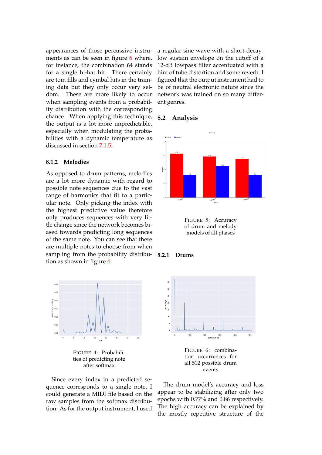appearances of those percussive instru-ments as can be seen in figure [6](#page-10-3) where, for instance, the combination 64 stands for a single hi-hat hit. There certainly are tom fills and cymbal hits in the training data but they only occur very seldom. These are more likely to occur when sampling events from a probability distribution with the corresponding chance. When applying this technique, the output is a lot more unpredictable, especially when modulating the probabilities with a dynamic temperature as discussed in section [7.1.5.](#page-8-2)

#### <span id="page-10-0"></span>**8.1.2 Melodies**

As opposed to drum patterns, melodies are a lot more dynamic with regard to possible note sequences due to the vast range of harmonics that fit to a particular note. Only picking the index with the highest predictive value therefore only produces sequences with very little change since the network becomes biased towards predicting long sequences of the same note. You can see that there are multiple notes to choose from when sampling from the probability distribution as shown in figure [4.](#page-10-4)

<span id="page-10-4"></span>

FIGURE 4: Probabilities of predicting note after softmax

Since every index in a predicted sequence corresponds to a single note, I could generate a MIDI file based on the raw samples from the softmax distribution. As for the output instrument, I used a regular sine wave with a short decaylow sustain envelope on the cutoff of a 12-dB lowpass filter accentuated with a hint of tube distortion and some reverb. I figured that the output instrument had to be of neutral electronic nature since the network was trained on so many different genres.

#### <span id="page-10-1"></span>**8.2 Analysis**



FIGURE 5: Accuracy of drum and melody models of all phases

<span id="page-10-2"></span>

<span id="page-10-3"></span>

FIGURE 6: combination occurrences for all 512 possible drum events

The drum model's accuracy and loss appear to be stabilizing after only two epochs with 0.77% and 0.86 respectively. The high accuracy can be explained by the mostly repetitive structure of the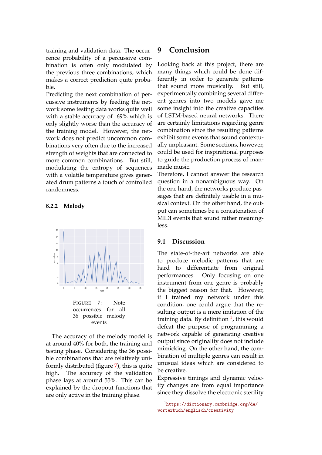training and validation data. The occurrence probability of a percussive combination is often only modulated by the previous three combinations, which makes a correct prediction quite probable.

Predicting the next combination of percussive instruments by feeding the network some testing data works quite well with a stable accuracy of 69% which is only slightly worse than the accuracy of the training model. However, the network does not predict uncommon combinations very often due to the increased strength of weights that are connected to more common combinations. But still, modulating the entropy of sequences with a volatile temperature gives generated drum patterns a touch of controlled randomness.

#### <span id="page-11-0"></span>**8.2.2 Melody**

<span id="page-11-3"></span>

The accuracy of the melody model is at around 40% for both, the training and testing phase. Considering the 36 possible combinations that are relatively uniformly distributed (figure [7\)](#page-11-3), this is quite high. The accuracy of the validation phase lays at around 55%. This can be explained by the dropout functions that are only active in the training phase.

## <span id="page-11-1"></span>**9 Conclusion**

Looking back at this project, there are many things which could be done differently in order to generate patterns that sound more musically. But still, experimentally combining several different genres into two models gave me some insight into the creative capacities of LSTM-based neural networks. There are certainly limitations regarding genre combination since the resulting patterns exhibit some events that sound contextually unpleasant. Some sections, however, could be used for inspirational purposes to guide the production process of manmade music.

Therefore, I cannot answer the research question in a nonambiguous way. On the one hand, the networks produce passages that are definitely usable in a musical context. On the other hand, the output can sometimes be a concatenation of MIDI events that sound rather meaningless.

#### <span id="page-11-2"></span>**9.1 Discussion**

The state-of-the-art networks are able to produce melodic patterns that are hard to differentiate from original performances. Only focusing on one instrument from one genre is probably the biggest reason for that. However, if I trained my network under this condition, one could argue that the resulting output is a mere imitation of the training data. By definition <sup>[1](#page-11-4)</sup>, this would defeat the purpose of programming a network capable of generating creative output since originality does not include mimicking. On the other hand, the combination of multiple genres can result in unusual ideas which are considered to be creative.

Expressive timings and dynamic velocity changes are from equal importance since they dissolve the electronic sterility

<span id="page-11-4"></span><sup>1</sup>[https://dictionary.cambridge.org/de/](https://dictionary.cambridge.org/de/worterbuch/englisch/creativity) [worterbuch/englisch/creativity](https://dictionary.cambridge.org/de/worterbuch/englisch/creativity)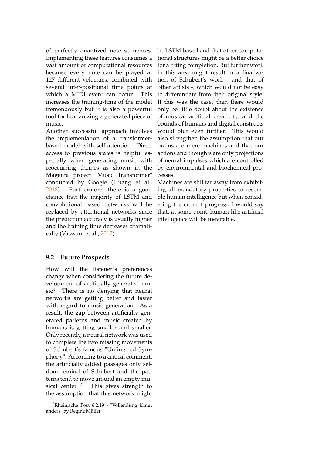of perfectly quantized note sequences. Implementing these features consumes a vast amount of computational resources because every note can be played at 127 different velocities, combined with several inter-positional time points at which a MIDI event can occur. This increases the training-time of the model tremendously but it is also a powerful tool for humanizing a generated piece of music.

Another successful approach involves the implementation of a transformerbased model with self-attention. Direct access to previous states is helpful especially when generating music with reoccurring themes as shown in the Magenta project "Music Transformer" conducted by Google (Huang et al., [2018\)](#page-13-5). Furthermore, there is a good chance that the majority of LSTM and convolutional based networks will be replaced by attentional networks since the prediction accuracy is usually higher and the training time decreases dramatically (Vaswani et al., [2017\)](#page-13-15).

be LSTM-based and that other computational structures might be a better choice for a fitting completion. But further work in this area might result in a finalization of Schubert's work - and that of other artists -, which would not be easy to differentiate from their original style. If this was the case, then there would only be little doubt about the existence of musical artificial creativity, and the bounds of humans and digital constructs would blur even further. This would also strengthen the assumption that our brains are mere machines and that our actions and thoughts are only projections of neural impulses which are controlled by environmental and biochemical processes.

Machines are still far away from exhibiting all mandatory properties to resemble human intelligence but when considering the current progress, I would say that, at some point, human-like artificial intelligence will be inevitable.

### <span id="page-12-0"></span>**9.2 Future Prospects**

How will the listener's preferences change when considering the future development of artificially generated music? There is no denying that neural networks are getting better and faster with regard to music generation. As a result, the gap between artificially generated patterns and music created by humans is getting smaller and smaller. Only recently, a neural network was used to complete the two missing movements of Schubert's famous "Unfinished Symphony". According to a critical comment, the artificially added passages only seldom remind of Schubert and the patterns tend to move around an empty mu-sical center <sup>[2](#page-12-1)</sup>. This gives strength to the assumption that this network might

<span id="page-12-1"></span><sup>&</sup>lt;sup>2</sup>Rheinische Post 6.2.19 - "Vollendung klingt anders" by Regine Müller